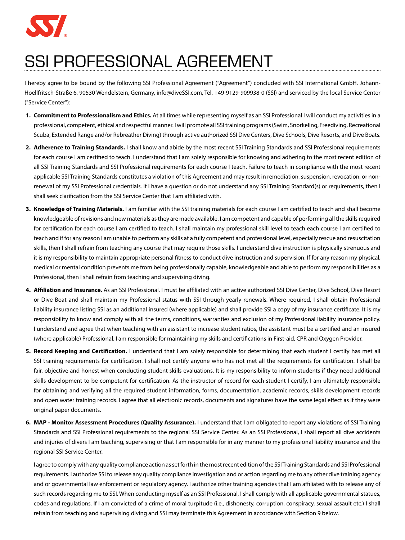

## SSI PROFESSIONAL AGREEMENT

I hereby agree to be bound by the following SSI Professional Agreement ("Agreement") concluded with SSI International GmbH, Johann-Hoellfritsch-Straße 6, 90530 Wendelstein, Germany, info@diveSSI.com, Tel. +49-9129-909938-0 (SSI) and serviced by the local Service Center ("Service Center"):

- **1. Commitment to Professionalism and Ethics.** At all times while representing myself as an SSI Professional I will conduct my activities in a professional, competent, ethical and respectful manner. I will promote all SSI training programs (Swim, Snorkeling, Freediving, Recreational Scuba, Extended Range and/or Rebreather Diving) through active authorized SSI Dive Centers, Dive Schools, Dive Resorts, and Dive Boats.
- **2. Adherence to Training Standards.** I shall know and abide by the most recent SSI Training Standards and SSI Professional requirements for each course I am certified to teach. I understand that I am solely responsible for knowing and adhering to the most recent edition of all SSI Training Standards and SSI Professional requirements for each course I teach. Failure to teach in compliance with the most recent applicable SSI Training Standards constitutes a violation of this Agreement and may result in remediation, suspension, revocation, or nonrenewal of my SSI Professional credentials. If I have a question or do not understand any SSI Training Standard(s) or requirements, then I shall seek clarification from the SSI Service Center that I am affiliated with.
- **3. Knowledge of Training Materials.** I am familiar with the SSI training materials for each course I am certified to teach and shall become knowledgeable of revisions and new materials as they are made available. I am competent and capable of performing all the skills required for certification for each course I am certified to teach. I shall maintain my professional skill level to teach each course I am certified to teach and if for any reason I am unable to perform any skills at a fully competent and professional level, especially rescue and resuscitation skills, then I shall refrain from teaching any course that may require those skills. I understand dive instruction is physically strenuous and it is my responsibility to maintain appropriate personal fitness to conduct dive instruction and supervision. If for any reason my physical, medical or mental condition prevents me from being professionally capable, knowledgeable and able to perform my responsibilities as a Professional, then I shall refrain from teaching and supervising diving.
- **4. Affiliation and Insurance.** As an SSI Professional, I must be affiliated with an active authorized SSI Dive Center, Dive School, Dive Resort or Dive Boat and shall maintain my Professional status with SSI through yearly renewals. Where required, I shall obtain Professional liability insurance listing SSI as an additional insured (where applicable) and shall provide SSI a copy of my insurance certificate. It is my responsibility to know and comply with all the terms, conditions, warranties and exclusion of my Professional liability insurance policy. I understand and agree that when teaching with an assistant to increase student ratios, the assistant must be a certified and an insured (where applicable) Professional. I am responsible for maintaining my skills and certifications in First-aid, CPR and Oxygen Provider.
- **5. Record Keeping and Certification.** I understand that I am solely responsible for determining that each student I certify has met all SSI training requirements for certification. I shall not certify anyone who has not met all the requirements for certification. I shall be fair, objective and honest when conducting student skills evaluations. It is my responsibility to inform students if they need additional skills development to be competent for certification. As the instructor of record for each student I certify, I am ultimately responsible for obtaining and verifying all the required student information, forms, documentation, academic records, skills development records and open water training records. I agree that all electronic records, documents and signatures have the same legal effect as if they were original paper documents.
- **6. MAP Monitor Assessment Procedures (Quality Assurance).** I understand that I am obligated to report any violations of SSI Training Standards and SSI Professional requirements to the regional SSI Service Center. As an SSI Professional, I shall report all dive accidents and injuries of divers I am teaching, supervising or that I am responsible for in any manner to my professional liability insurance and the regional SSI Service Center.

I agree to comply with any quality compliance action as set forth in the most recent edition of the SSI Training Standards and SSI Professional requirements. I authorize SSI to release any quality compliance investigation and or action regarding me to any other dive training agency and or governmental law enforcement or regulatory agency. I authorize other training agencies that I am affiliated with to release any of such records regarding me to SSI. When conducting myself as an SSI Professional, I shall comply with all applicable governmental statues, codes and regulations. If I am convicted of a crime of moral turpitude (i.e., dishonesty, corruption, conspiracy, sexual assault etc.) I shall refrain from teaching and supervising diving and SSI may terminate this Agreement in accordance with Section 9 below.